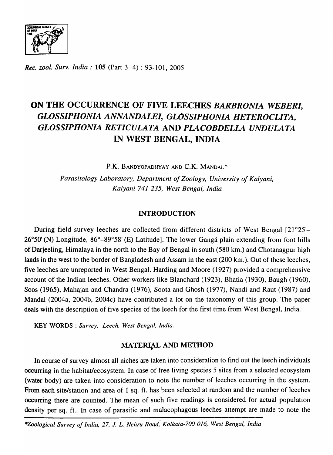

*Rec. zool. Surv. India:* 105 (Part 3-4) : 93-101, 2005

# ON THE OCCURRENCE OF FIVE LEECHES *BARBRONIA WEBERI, GLOSSIPHONIA ANNANDALEI, GLOSSIPHONIA HETEROCLITA, GLOSSIPHONIA RETICULATA* AND *PLACOBDELLA UNDULATA*  IN WEST BENGAL, INDIA

P.K. BANDYOPADHYAY AND C.K. MANDAL\*

*Parasitology Laboratory, Department of Zoology, University of Kalyani, Kalyani-741* 235, *West Bengal, India* 

#### INTRODUCTION

During field survey leeches are collected from different districts of West Bengal [21°25'-26°50' (N) Longitude, 86°-89°58' (E) Latitude]. The lower Ganga plain extending from foot hills of DarjeeIing, Himalaya in the north to the Bay of Bengal in south (580 km.) and Chotanagpur high lands in the west to the border of Bangladesh and Assam in the east (200 km.). Out of these leeches, five leeches are unreported in West Bengal. Harding and Moore (1927) provided a comprehensive account of the Indian leeches. Other workers like Blanchard (1923), Bhatia (1930), Baugh (1960), Soos (1965), Mahajan and Chandra (1976), Soota and Ghosh (1977), Nandi and Raut (1987) and MandaI (2004a, 2004b, 2004c) have contributed a lot on the taxonomy of this group. The paper deals with the description of five species of the leech for the first time from West Bengal, India.

KEY WORDS: *Survey, Leech, West Bengal, India.* 

#### MATERIAL AND METHOD

In course of survey almost all niches are taken into consideration to find out the leech individuals occurring in the habitat/ecosystem. In case of free living species 5 sites from a selected ecosystem (water body) are taken into consideration to note the number of leeches occurring in the system. From each site/station and area of 1 sq. ft. has been selected at random and the number of leeches occurring there are counted. The mean of such five readings is considered for actual population density per sq. ft.. In case of parasitic and malacophagous leeches attempt are made to note the

*\*Zoological Survey of India,* 27, J. *L. Nehru Road,' Kolkata-700 016, West Bengal, India*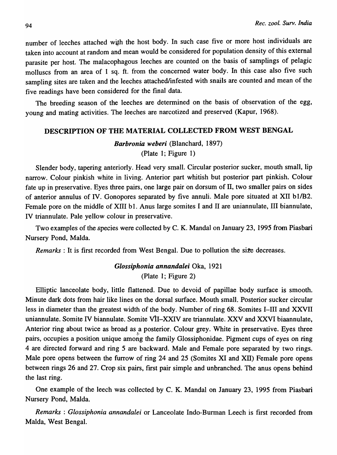number of leeches attached with the host body. In such case five or more host individuals are taken into account at random and mean would be considered for population density of this external parasite per host. The malacophagous leeches are counted on the basis of samplings of pelagic molluscs from an area of 1 sq. ft. from the concerned water body. In this case also five such sampling sites are taken and the leeches attached/infested with snails are counted and mean of the five readings have been considered for the final data.

The breeding season of the leeches are determined on the basis of observation of the egg, young and mating activities. The leeches are narcotized and preserved (Kapur, 1968).

#### DESCRIPTION OF THE MATERIAL COLLECTED FROM WEST BENGAL

#### *Barbronia weberi* (Blanchard, 1897) (Plate 1; Figure 1)

Slender body, tapering anteriorly. Head very small. Circular posterior sucker, mouth small, lip narrow. Colour pinkish white in living. Anterior part whitish but posterior part pinkish. Colour fate up in preservative. Eyes three pairs, one large pair on dorsum of II, two smaller pairs on sides of anterior annulus of IV. Gonopores separated by five annuli. Male pore situated at XII *bllB2.*  Female pore on the middle of XIII b1. Anus large somites I and II are uniannulate, III biannulate, IV triannulate. Pale yellow colour in preservative.

Two examples of the species were collected by C. K. MandaI on January 23, 1995 from Piasbari Nursery Pond, MaIda.

*Remarks* : It is first recorded from West Bengal. Due to pollution the size decreases.

### *Glossiphonia annandalei* Oka, 1921 (Plate 1; Figure 2)

Elliptic lanceolate body, little flattened. Due to devoid of papillae body surface is smooth. Minute dark dots from hair like lines on the dorsal surface. Mouth small. Posterior sucker circular less in diameter than the greatest width of the body. Number of ring 68. Somites I-III and XXVII uniannulate. Somite IV biannulate. Somite VII–XXIV are triannulate. XXV and XXVI biaannulate, Anterior ring about twice as broad as a posterior. Colour grey. White in preservative. Eyes three pairs, occupies a position unique among the family Glossiphonidae. Pigment cups of eyes on ring 4 are directed forward and ring 5 are backward. Male and Female pore separated by two rings. Male pore opens between the furrow of ring 24 and 25 (Somites XI and XU) Female pore opens between rings 26 and 27. Crop six pairs, first pair simple and unbranched. The anus opens behind the last ring.

One example of the leech was collected by C. K. MandaI on January 23, 1995 from Piasbari Nursery Pond, MaIda.

*Remarks* : *Glossiphonia annandalei* or Lanceolate Indo-Burman Leech is first recorded from MaIda, West Bengal.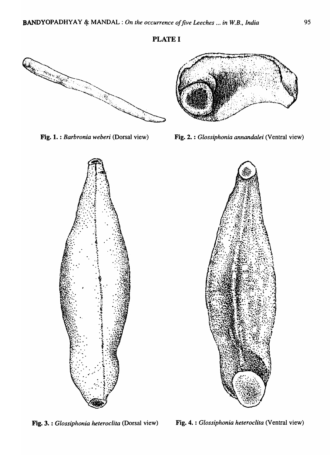## PLATE I





Fig. 1. : *Barbronia weberi* (Dorsal view) Fig. 2. : *Glossiphonia annandalei* (Ventral view)





Fig. 3. : *Glossiphonia heteroclita* (Dorsal view) Fig. 4. : *Glossiphonia heteroclita* (Ventral view)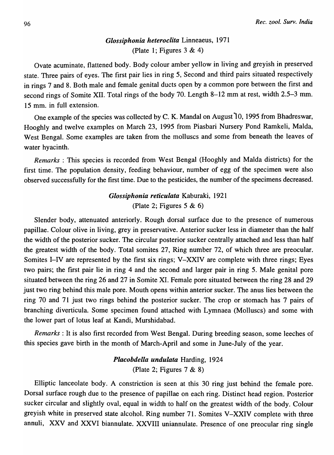### *Glossiphonia heteroclita* Linneaeus, 1971 (Plate 1; Figures  $3 \& 4$ )

Ovate acuminate, flattened body. Body colour amber yellow in living and greyish in preserved state. Three pairs of eyes. The first pair lies in ring 5, Second and third pairs situated respectively in rings 7 and 8. Both male and female genital ducts open by a common pore between the first and second rings of Somite XII. Total rings of the body 70. Length 8-12 mm at rest, width 2.5-3 mm. 15 mm. in full extension.

One example of the species was collected by C. K. MandaI on August 10, 1995 from Bhadreswar, Hooghly and twelve examples on March 23, 1995 from Piasbari Nursery Pond Ramkeli, MaIda, West Bengal. Some examples are taken from the molluscs and some from beneath the leaves of water hyacinth.

*Remarks:* This species is recorded from West Bengal (Hooghly and MaIda districts) for the first time. The population density, feeding behaviour, number of egg of the specimen were also observed successfully for the first time. Due to the pesticides, the number of the specimens decreased.

# *Glossiphonia reticulata* Kaburaki, 1921 (Plate 2; Figures  $5 & 6$ )

Slender body, attenuated anteriorly. Rough dorsal surface due to the presence of numerous papillae. Colour olive in living, grey in preservative. Anterior sucker less in diameter than the half the width of the posterior sucker. The circular posterior sucker centrally attached and less than half the greatest width of the body. Total somites 27, Ring number 72, of which three are preocular. Somites I-IV are represented by the first six rings; V-XXIV are complete with three rings; Eyes two pairs; the first pair lie in ring 4 and the second and larger pair in ring 5. Male genital pore situated between the ring 26 and 27 in Somite XI. Female pore situated between the ring 28 and 29 just two ring behind this male pore. Mouth opens within anterior sucker. The anus lies between the ring 70 and 71 just two rings behind the posterior sucker. The crop or stomach has 7 pairs of branching diverticula. Some specimen found attached with Lymnaea (Molluscs) and some with the lower part of lotus leaf at Kandi, Murshidabad.

*Remarks:* It is also first recorded from West Bengal. During breeding season, some leeches of this species gave birth in the month of March-April and some in June-July of the year.

#### *Placobdella undulata* Harding, 1924 (Plate 2; Figures 7 & 8)

Elliptic lanceolate body. A constriction is seen at this 30 ring just behind the female pore. Dorsal surface rough due to the presence of papillae on each ring. Distinct head region. Posterior sucker circular and slightly oval, equal in width to half on the greatest width of the body. Colour greyish white in preserved state alcohol. Ring number 71. Somites V-XXIV complete with three annuli, XXV and XXVI biannulate. XXVIII uniannulate. Presence of one preocular ring single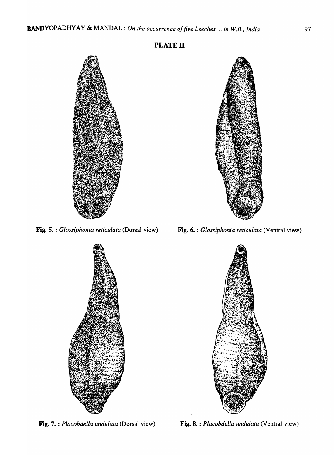



Fig. 5. : *Glossiphonia reticulata* (Dorsal view) Fig. 6. : *Glossiphonia reticulata* (Ventral view)





Fig. 7. : *Placobdella undulata* (Dorsal view) Fig. 8. : *Placobdella undulata* (Ventral view)

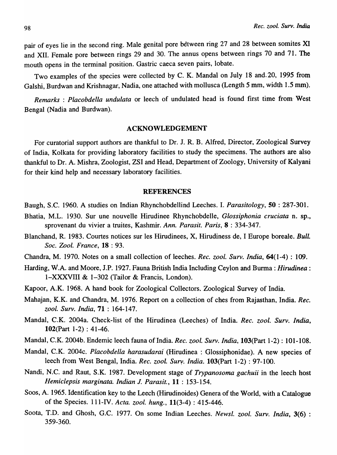pair of eyes lie in the second ring. Male genital pore between ring 27 and 28 between somites XI and XII. Female pore between rings 29 and 30. The annus opens between rings 70 and 71. The mouth opens in the terminal position. Gastric caeca seven pairs, lobate.

Two examples of the species were collected by C. K. MandaI on July 18 and. 20, 1995 from Galshi, Burdwan and Krishnagar, Nadia, one attached with mollusca (Length 5 mm, width 1.5 mm).

*Remarks: Placobdella undulata* or leech of undulated head is found first time from- West Bengal (Nadia and Burdwan).

#### ACKNOWLEDGEMENT

For curatorial support authors are thankful to Dr. J. R. B. Alfred, Director, Zoological Survey of India, Kolkata for providing laboratory facilities to study the specimens. The authors are also thankful to Dr. A. Mishra, Zoologist, ZSI and Head, Department of Zoology, University of Kalyani for their kind help and necessary laboratory facilities.

#### REFERENCES

- Baugh, S.C. 1960. A studies on Indian Rhynchobdellind Leeches. I. *Parasitology,* 50 : 287-301.
- Bhatia, M.L. 1930. Sur une nouvelle Hirudinee RhynchobdeIle, *Glossiphonia cruciata* n. sp., sprovenant du vivier a truites, Kashmir. Ann. Parasit. Paris, 8 : 334-347.
- Blanchand, R. 1983. Courtes notices sur les Hirudinees, X, Hirudiness de, I Europe boreale. *Bull. Soc.* 2001. *France,* 18 : 93.
- Chandra, M. 1970. Notes on a small collection of leeches. *Rec. zoo* I. *Surv. India,* 64(1-4) : 109.
- Harding, W.A. and Moore, J.P. 1927. Fauna British India Including Ceylon and Burma: *Hirudinea:*  I-XXXVIII & 1-302 (Tailor & Francis, London).
- Kapoor, A.K. 1968. A hand book for Zoological Collectors. Zoological Survey of India.
- Mahajan, K.K. and Chandra, M. 1976. Report on a collection of ches from Rajasthan, India. *Rec. zool. Surv. India,* 71 : 164-147.
- Mandai, C.K. 2004a. Check-list of the Hirudinea (Leeches) of India. *Rec. zool. Surv. India,*  102(Part 1-2) : 41-46.
- Mandai, C.K. 2004b. Endemic leech fauna of India. *Rec. zool. Surv. India,* 103(Part 1-2) : 101-108.
- Mandai, C.K. 2004c. *Placobdella harasudara{* (Hirudinea: Glossiphonidae). A new species of leech from West Bengal, India. *Rec. zool. Surv. India.* **103**(Part 1-2): 97-100.
- Nandi, N.C. and Raut, S.K. 1987. Development stage of *Trypanosoma gachuii* in the leech host *Hemiclepsis marginata. Indian* J. *Parasit.,* 11 : 153-154.
- Soos, A. 1965. Identification key to the Leech (Hirudinoides) Genera of the World, with a Catalogue of the Species. 111-IV. *Acta. zool. hung.*, 11(3-4): 415-446.
- Soota, T.D. and Ghosh, G.C. 1977. On some Indian Leeches. *Newsl. zool. Surv. India*, 3(6): 359-360.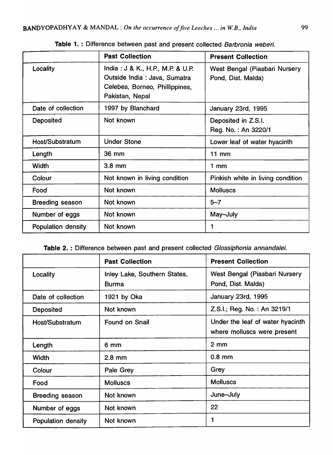|                        | <b>Past Collection</b>                                                                                                 | <b>Present Collection</b>                           |
|------------------------|------------------------------------------------------------------------------------------------------------------------|-----------------------------------------------------|
| Locality               | India: J & K., H.P., M.P. & U.P.<br>Outside India : Java, Sumatra<br>Celebes, Borneo, Phillippines,<br>Pakistan, Nepal | West Bengal (Piasbari Nursery<br>Pond, Dist. Malda) |
| Date of collection     | 1997 by Blanchard                                                                                                      | January 23rd, 1995                                  |
| <b>Deposited</b>       | Not known                                                                                                              | Deposited in Z.S.I.<br>Reg. No.: An 3220/1          |
| Host/Substratum        | <b>Under Stone</b>                                                                                                     | Lower leaf of water hyacinth                        |
| Length                 | 36 mm                                                                                                                  | $11$ mm                                             |
| Width                  | $3.8$ mm                                                                                                               | $1 \text{ mm}$                                      |
| Colour                 | Not known in living condition                                                                                          | Pinkish white in living condition                   |
| Food                   | Not known                                                                                                              | <b>Molluscs</b>                                     |
| <b>Breeding season</b> | Not known                                                                                                              | $5 - 7$                                             |
| Number of eggs         | Not known                                                                                                              | May-July                                            |
| Population density     | Not known                                                                                                              |                                                     |

Table 1. : Difference between past and present collected Barbronia weberi.

| Table 2.: Difference between past and present collected Glossiphonia annandalei. |  |  |  |
|----------------------------------------------------------------------------------|--|--|--|
|----------------------------------------------------------------------------------|--|--|--|

|                           | <b>Past Collection</b>                       | <b>Present Collection</b>                                       |
|---------------------------|----------------------------------------------|-----------------------------------------------------------------|
| Locality                  | Inley Lake, Southern States,<br><b>Burma</b> | West Bengal (Piasbari Nursery<br>Pond, Dist. Malda)             |
| Date of collection        | 1921 by Oka                                  | January 23rd, 1995                                              |
| <b>Deposited</b>          | Not known                                    | Z.S.I.; Reg. No.: An 3219/1                                     |
| Host/Substratum           | <b>Found on Snail</b>                        | Under the leaf of water hyacinth<br>where molluscs were present |
| Length                    | 6 mm                                         | $2 \, \text{mm}$                                                |
| <b>Width</b>              | $2.8$ mm                                     | $0.8$ mm                                                        |
| Colour                    | Pale Grey                                    | Grey                                                            |
| Food                      | <b>Molluscs</b>                              | <b>Molluscs</b>                                                 |
| <b>Breeding season</b>    | Not known                                    | June-July                                                       |
| Number of eggs            | Not known                                    | 22                                                              |
| <b>Population density</b> | Not known                                    | 1                                                               |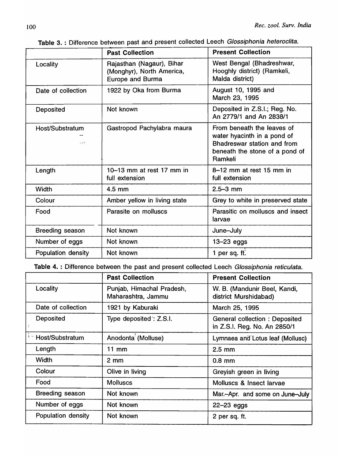|                            | <b>Past Collection</b>                                                     | <b>Present Collection</b>                                                                                                             |
|----------------------------|----------------------------------------------------------------------------|---------------------------------------------------------------------------------------------------------------------------------------|
| Locality                   | Rajasthan (Nagaur), Bihar<br>(Monghyr), North America,<br>Europe and Burma | West Bengal (Bhadreshwar,<br>Hooghly district) (Ramkeli,<br>Malda district)                                                           |
| Date of collection         | 1922 by Oka from Burma                                                     | August 10, 1995 and<br>March 23, 1995                                                                                                 |
| Deposited                  | Not known                                                                  | Deposited in Z.S.I.; Reg. No.<br>An 2779/1 and An 2838/1                                                                              |
| Host/Substratum<br>or vite | Gastropod Pachylabra maura                                                 | From beneath the leaves of<br>water hyacinth in a pond of<br>Bhadreswar station and from<br>beneath the stone of a pond of<br>Ramkeli |
| Length                     | 10-13 mm at rest 17 mm in<br>full extension                                | $8-12$ mm at rest 15 mm in<br>full extension                                                                                          |
| <b>Width</b>               | 4.5 mm                                                                     | $2.5 - 3$ mm                                                                                                                          |
| Colour                     | Amber yellow in living state                                               | Grey to white in preserved state                                                                                                      |
| Food                       | Parasite on molluscs                                                       | Parasitic on molluscs and insect<br>larvae                                                                                            |
| <b>Breeding season</b>     | Not known                                                                  | June-July                                                                                                                             |
| Number of eggs             | Not known                                                                  | $13 - 23$ eggs                                                                                                                        |
| Population density         | Not known                                                                  | 1 per sq. ft.                                                                                                                         |

Table 3. : Difference between past and present collected Leech Glossiphonia heteroclita.

Table 4. : Difference between the past and present collected Leech Glossiphonia reticulata.

|                        | <b>Past Collection</b>                          | <b>Present Collection</b>                                            |
|------------------------|-------------------------------------------------|----------------------------------------------------------------------|
| Locality               | Punjab, Himachal Pradesh,<br>Maharashtra, Jammu | W. B. (Mandunir Beel, Kandi,<br>district Murshidabad)                |
| Date of collection     | 1921 by Kaburaki                                | March 25, 1995                                                       |
| Deposited              | Type deposited: Z.S.I.                          | <b>General collection: Deposited</b><br>in Z.S.I. Reg. No. An 2850/1 |
| ** Host/Substratum     | Anodonta (Molluse)                              | Lymnaea and Lotus leaf (Mollusc)                                     |
| Length                 | 11 mm                                           | $2.5 \text{ mm}$                                                     |
| Width                  | $2 \, \text{mm}$                                | $0.8$ mm                                                             |
| Colour                 | Olive in living                                 | Greyish green in living                                              |
| Food                   | <b>Molluscs</b>                                 | Molluscs & Insect larvae                                             |
| <b>Breeding season</b> | Not known                                       | Mar.-Apr. and some on June-July                                      |
| Number of eggs         | Not known                                       | $22 - 23$ eggs                                                       |
| Population density     | Not known                                       | 2 per sq. ft.                                                        |